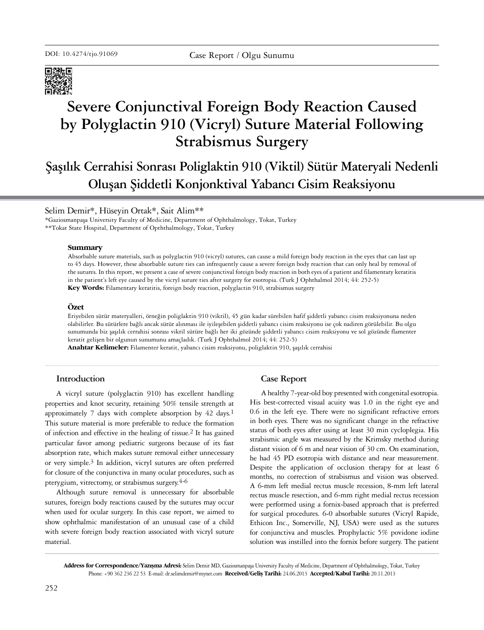

# **Severe Conjunctival Foreign Body Reaction Caused by Polyglactin 910 (Vicryl) Suture Material Following Strabismus Surgery**

## **Şaşılık Cerrahisi Sonrası Poliglaktin 910 (Viktil) Sütür Materyali Nedenli Oluşan Şiddetli Konjonktival Yabancı Cisim Reaksiyonu**

## Selim Demir\*, Hüseyin Ortak\*, Sait Alim\*\*

\*Gaziosmanpaşa University Faculty of Medicine, Department of Ophthalmology, Tokat, Turkey \*\*Tokat State Hospital, Department of Opththalmology, Tokat, Turkey

#### **Summary**

Absorbable suture materials, such as polyglactin 910 (vicryl) sutures, can cause a mild foreign body reaction in the eyes that can last up to 45 days. However, these absorbable suture ties can infrequently cause a severe foreign body reaction that can only heal by removal of the sutures. In this report, we present a case of severe conjunctival foreign body reaction in both eyes of a patient and filamentary keratitis in the patient's left eye caused by the vicryl suture ties after surgery for esotropia. (Turk J Ophthalmol 2014; 44: 252-5) **Key Words:** Filamentary keratitis, foreign body reaction, polyglactin 910, strabismus surgery

#### **Özet**

Eriyebilen sütür materyalleri, örneğin poliglaktin 910 (vikril), 45 gün kadar sürebilen hafif şiddetli yabancı cisim reaksiyonuna neden olabilirler. Bu sütürlere bağlı ancak sütür alınması ile iyileşebilen şiddetli yabancı cisim reaksiyonu ise çok nadiren görülebilir. Bu olgu sunumunda biz şaşılık cerrahisi sonrası vikril sütüre bağlı her iki gözünde şiddetli yabancı cisim reaksiyonu ve sol gözünde flamenter keratit gelişen bir olgunun sunumunu amaçladık. (Turk J Ophthalmol 2014; 44: 252-5)

**Anahtar Kelimeler:** Filamenter keratit, yabancı cisim reaksiyonu, poliglaktin 910, şaşılık cerrahisi

### **Introduction**

A vicryl suture (polyglactin 910) has excellent handling properties and knot security, retaining 50% tensile strength at approximately 7 days with complete absorption by 42 days.1 This suture material is more preferable to reduce the formation of infection and effective in the healing of tissue.2 It has gained particular favor among pediatric surgeons because of its fast absorption rate, which makes suture removal either unnecessary or very simple.3 In addition, vicryl sutures are often preferred for closure of the conjunctiva in many ocular procedures, such as pterygium, vitrectomy, or strabismus surgery.4-6

Although suture removal is unnecessary for absorbable sutures, foreign body reactions caused by the sutures may occur when used for ocular surgery. In this case report, we aimed to show ophthalmic manifestation of an unusual case of a child with severe foreign body reaction associated with vicryl suture material.

### **Case Report**

A healthy 7-year-old boy presented with congenital esotropia. His best-corrected visual acuity was 1.0 in the right eye and 0.6 in the left eye. There were no significant refractive errors in both eyes. There was no significant change in the refractive status of both eyes after using at least 30 min cycloplegia. His strabismic angle was measured by the Krimsky method during distant vision of 6 m and near vision of 30 cm. On examination, he had 45 PD esotropia with distance and near measurement. Despite the application of occlusion therapy for at least 6 months, no correction of strabismus and vision was observed. A 6-mm left medial rectus muscle recession, 8-mm left lateral rectus muscle resection, and 6-mm right medial rectus recession were performed using a fornix-based approach that is preferred for surgical procedures. 6-0 absorbable sutures (Vicryl Rapide, Ethicon Inc., Somerville, NJ, USA) were used as the sutures for conjunctiva and muscles. Prophylactic 5% povidone iodine solution was instilled into the fornix before surgery. The patient

**Address for Correspondence/Yazışma Adresi:** Selim Demir MD, Gaziosmanpaşa University Faculty of Medicine, Department of Ophthalmology, Tokat, Turkey Phone: +90 362 236 22 53 E-mail: dr.selimdemir@mynet.com **Received/Geliş Tarihi:** 24.06.2013 **Accepted/Kabul Tarihi:** 20.11.2013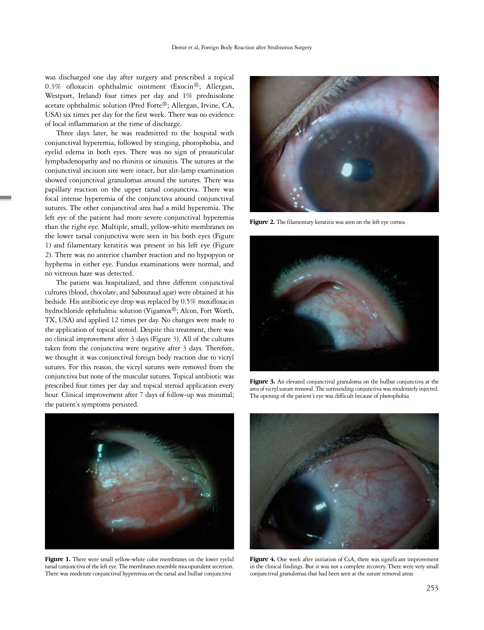was discharged one day after surgery and prescribed a topical 0.3% ofloxacin ophthalmic ointment (Exocin®; Allergan, Westport, Ireland) four times per day and 1% prednisolone acetate ophthalmic solution (Pred Forte®; Allergan, Irvine, CA, USA) six times per day for the first week. There was no evidence of local inflammation at the time of discharge.

Three days later, he was readmitted to the hospital with conjunctival hyperemia, followed by stinging, photophobia, and eyelid edema in both eyes. There was no sign of preauricular lymphadenopathy and no rhinitis or sinusitis. The sutures at the conjunctival incision site were intact, but slit-lamp examination showed conjunctival granulomas around the sutures. There was papillary reaction on the upper tarsal conjunctiva. There was focal intense hyperemia of the conjunctiva around conjunctival sutures. The other conjunctival area had a mild hyperemia. The left eye of the patient had more severe conjunctival hyperemia than the right eye. Multiple, small, yellow-white membranes on the lower tarsal conjunctiva were seen in his both eyes (Figure 1) and filamentary keratitis was present in his left eye (Figure 2). There was no anterior chamber reaction and no hypopyon or hyphema in either eye. Fundus examinations were normal, and no vitreous haze was detected.

The patient was hospitalized, and three different conjunctival cultures (blood, chocolate, and Sabouraud agar) were obtained at his bedside. His antibiotic eye drop was replaced by 0.5% moxifloxacin hydrochloride ophthalmic solution (Vigamox®; Alcon, Fort Worth, TX, USA) and applied 12 times per day. No changes were made to the application of topical steroid. Despite this treatment, there was no clinical improvement after 3 days (Figure 3). All of the cultures taken from the conjunctiva were negative after 3 days. Therefore, we thought it was conjunctival foreign body reaction due to vicryl sutures. For this reason, the vicryl sutures were removed from the conjunctiva but none of the muscular sutures. Topical antibiotic was prescribed four times per day and topical steroid application every hour. Clinical improvement after 7 days of follow-up was minimal; the patient's symptoms persisted.



Figure 2. The filamentary keratitis was seen on the left eye cornea



Figure 3. An elevated conjunctival granuloma on the bulbar conjunctiva at the area of vicryl suture removal. The surrounding conjunctiva was moderately injected. The opening of the patient's eye was difficult because of photophobia



Figure 1. There were small yellow-white color membranes on the lower eyelid tarsal conjunctiva of the left eye. The membranes resemble mucopurulent secretion. There was moderate conjunctival hyperemia on the tarsal and bulbar conjunctiva



Figure 4. One week after initiation of CsA, there was significant improvement in the clinical findings. But it was not a complete recovery. There were very small conjunctival granulomas that had been seen at the suture removal areas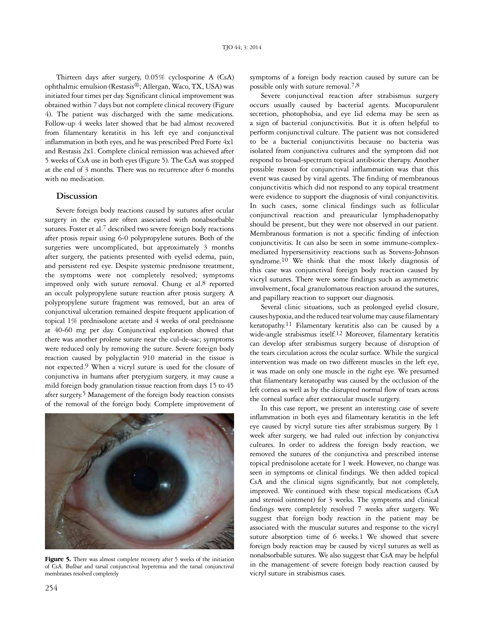Thirteen days after surgery, 0.05% cyclosporine A (CsA) ophthalmic emulsion (Restasis®; Allergan, Waco, TX, USA) was initiated four times per day. Significant clinical improvement was obtained within 7 days but not complete clinical recovery (Figure 4). The patient was discharged with the same medications. Follow-up 4 weeks later showed that he had almost recovered from filamentary keratitis in his left eye and conjunctival inflammation in both eyes, and he was prescribed Pred Forte 4x1 and Restasis 2x1. Complete clinical remission was achieved after 5 weeks of CsA use in both eyes (Figure 5). The CsA was stopped at the end of 3 months. There was no recurrence after 6 months with no medication.

#### **Discussion**

Severe foreign body reactions caused by sutures after ocular surgery in the eyes are often associated with nonabsorbable sutures. Foster et al.<sup>7</sup> described two severe foreign body reactions after ptosis repair using 6-0 polypropylene sutures. Both of the surgeries were uncomplicated, but approximately 3 months after surgery, the patients presented with eyelid edema, pain, and persistent red eye. Despite systemic prednisone treatment, the symptoms were not completely resolved; symptoms improved only with suture removal. Chung et al.<sup>8</sup> reported an occult polypropylene suture reaction after ptosis surgery. A polypropylene suture fragment was removed, but an area of conjunctival ulceration remained despite frequent application of topical 1% prednisolone acetate and 4 weeks of oral prednisone at 40-60 mg per day. Conjunctival exploration showed that there was another prolene suture near the cul-de-sac; symptoms were reduced only by removing the suture. Severe foreign body reaction caused by polyglactin 910 material in the tissue is not expected.9 When a vicryl suture is used for the closure of conjunctiva in humans after pterygium surgery, it may cause a mild foreign body granulation tissue reaction from days 15 to 45 after surgery.<sup>5</sup> Management of the foreign body reaction consists of the removal of the foreign body. Complete improvement of



Figure 5. There was almost complete recovery after 5 weeks of the initiation of CsA. Bulbar and tarsal conjunctival hyperemia and the tarsal conjunctival membranes resolved completely

symptoms of a foreign body reaction caused by suture can be possible only with suture removal.7,8

Severe conjunctival reaction after strabismus surgery occurs usually caused by bacterial agents. Mucopurulent secretion, photophobia, and eye lid edema may be seen as a sign of bacterial conjunctivitis. But it is often helpful to perform conjunctival culture. The patient was not considered to be a bacterial conjunctivitis because no bacteria was isolated from conjunctiva cultures and the symptom did not respond to broad-spectrum topical antibiotic therapy. Another possible reason for conjunctival inflammation was that this event was caused by viral agents. The finding of membranous conjunctivitis which did not respond to any topical treatment were evidence to support the diagnosis of viral conjunctivitis. In such cases, some clinical findings such as follicular conjunctival reaction and preauricular lymphadenopathy should be present, but they were not observed in our patient. Membranous formation is not a specific finding of infection conjunctivitis. It can also be seen in some immune-complexmediated hypersensitivity reactions such as Stevens-Johnson syndrome.<sup>10</sup> We think that the most likely diagnosis of this case was conjunctival foreign body reaction caused by vicryl sutures. There were some findings such as asymmetric involvement, focal granulomatous reaction around the sutures, and papillary reaction to support our diagnosis.

Several clinic situations, such as prolonged eyelid closure, causes hypoxia, and the reduced tear volume may cause filamentary keratopathy.11 Filamentary keratitis also can be caused by a wide-angle strabismus itself.12 Moreover, filamentary keratitis can develop after strabismus surgery because of disruption of the tears circulation across the ocular surface. While the surgical intervention was made on two different muscles in the left eye, it was made on only one muscle in the right eye. We presumed that filamentary keratopathy was caused by the occlusion of the left cornea as well as by the disrupted normal flow of tears across the corneal surface after extraocular muscle surgery.

In this case report, we present an interesting case of severe inflammation in both eyes and filamentary keratitis in the left eye caused by vicryl suture ties after strabismus surgery. By 1 week after surgery, we had ruled out infection by conjunctiva cultures. In order to address the foreign body reaction, we removed the sutures of the conjunctiva and prescribed intense topical prednisolone acetate for 1 week. However, no change was seen in symptoms or clinical findings. We then added topical CsA and the clinical signs significantly, but not completely, improved. We continued with these topical medications (CsA and steroid ointment) for 3 weeks. The symptoms and clinical findings were completely resolved 7 weeks after surgery. We suggest that foreign body reaction in the patient may be associated with the muscular sutures and response to the vicryl suture absorption time of 6 weeks.1 We showed that severe foreign body reaction may be caused by vicryl sutures as well as nonabsorbable sutures. We also suggest that CsA may be helpful in the management of severe foreign body reaction caused by vicryl suture in strabismus cases.